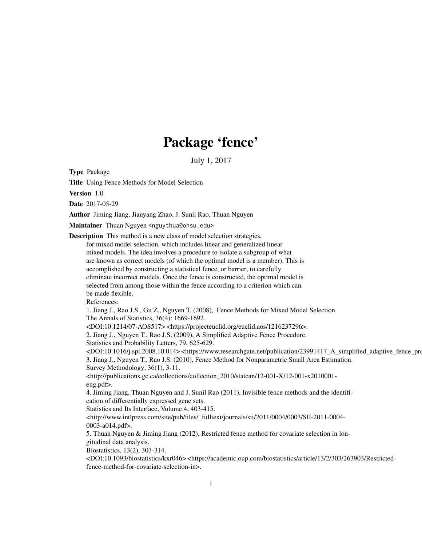## Package 'fence'

July 1, 2017

Type Package

Title Using Fence Methods for Model Selection

Version 1.0

Date 2017-05-29

Author Jiming Jiang, Jianyang Zhao, J. Sunil Rao, Thuan Nguyen

Maintainer Thuan Nguyen <nguythua@ohsu.edu>

Description This method is a new class of model selection strategies, for mixed model selection, which includes linear and generalized linear mixed models. The idea involves a procedure to isolate a subgroup of what are known as correct models (of which the optimal model is a member). This is accomplished by constructing a statistical fence, or barrier, to carefully eliminate incorrect models. Once the fence is constructed, the optimal model is selected from among those within the fence according to a criterion which can be made flexible.

References:

1. Jiang J., Rao J.S., Gu Z., Nguyen T. (2008), Fence Methods for Mixed Model Selection. The Annals of Statistics, 36(4): 1669-1692.

<DOI:10.1214/07-AOS517> <https://projecteuclid.org/euclid.aos/1216237296>.

2. Jiang J., Nguyen T., Rao J.S. (2009), A Simplified Adaptive Fence Procedure.

Statistics and Probability Letters, 79, 625-629.

<DOI:10.1016/j.spl.2008.10.014> <https://www.researchgate.net/publication/23991417\_A\_simplified\_adaptive\_fence\_procedure> 3. Jiang J., Nguyen T., Rao J.S. (2010), Fence Method for Nonparametric Small Area Estimation. Survey Methodology, 36(1), 3-11.

<http://publications.gc.ca/collections/collection\_2010/statcan/12-001-X/12-001-x2010001 eng.pdf>.

4. Jiming Jiang, Thuan Nguyen and J. Sunil Rao (2011), Invisible fence methods and the identification of differentially expressed gene sets.

Statistics and Its Interface, Volume 4, 403-415.

 $\langle$ http://www.intlpress.com/site/pub/files/\_fulltext/journals/sii/2011/0004/0003/SII-2011-0004-0003-a014.pdf>.

5. Thuan Nguyen & Jiming Jiang (2012), Restricted fence method for covariate selection in longitudinal data analysis.

Biostatistics, 13(2), 303-314.

 $<$ DOI:10.1093/biostatistics/kxr046> <https://academic.oup.com/biostatistics/article/13/2/303/263903/Restrictedfence-method-for-covariate-selection-in>.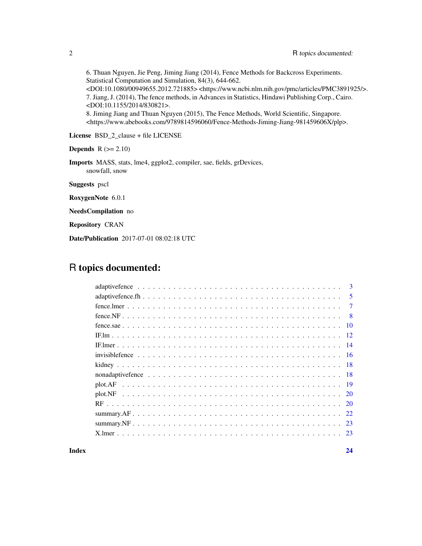6. Thuan Nguyen, Jie Peng, Jiming Jiang (2014), Fence Methods for Backcross Experiments. Statistical Computation and Simulation, 84(3), 644-662. <DOI:10.1080/00949655.2012.721885> <https://www.ncbi.nlm.nih.gov/pmc/articles/PMC3891925/>. 7. Jiang, J. (2014), The fence methods, in Advances in Statistics, Hindawi Publishing Corp., Cairo. <DOI:10.1155/2014/830821>. 8. Jiming Jiang and Thuan Nguyen (2015), The Fence Methods, World Scientific, Singapore. <https://www.abebooks.com/9789814596060/Fence-Methods-Jiming-Jiang-981459606X/plp>.

License BSD\_2\_clause + file LICENSE

**Depends**  $R$  ( $>= 2.10$ )

Imports MASS, stats, lme4, ggplot2, compiler, sae, fields, grDevices, snowfall, snow

Suggests pscl

RoxygenNote 6.0.1

NeedsCompilation no

Repository CRAN

Date/Publication 2017-07-01 08:02:18 UTC

## R topics documented:

| $\mathbf{3}$ |
|--------------|
| 5            |
| $\tau$       |
| - 8          |
| -10          |
|              |
|              |
|              |
|              |
|              |
|              |
|              |
|              |
|              |
| 23           |
|              |
|              |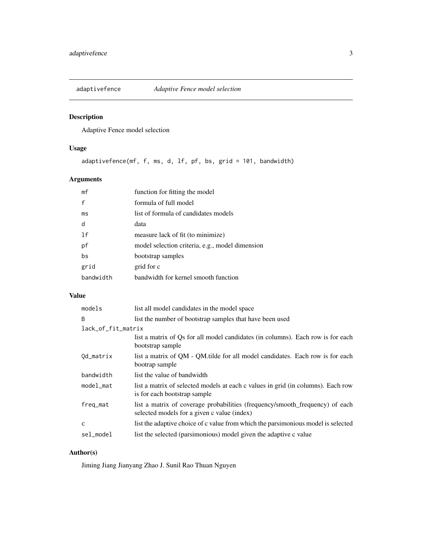<span id="page-2-0"></span>

Adaptive Fence model selection

## Usage

adaptivefence(mf, f, ms, d, lf, pf, bs, grid = 101, bandwidth)

## Arguments

| mf        | function for fitting the model                  |
|-----------|-------------------------------------------------|
| f         | formula of full model                           |
| ms        | list of formula of candidates models            |
| d         | data                                            |
| 1f        | measure lack of fit (to minimize)               |
| рf        | model selection criteria, e.g., model dimension |
| bs        | bootstrap samples                               |
| grid      | grid for c                                      |
| bandwidth | handwidth for kernel smooth function            |

## Value

| models             | list all model candidates in the model space                                                                                |
|--------------------|-----------------------------------------------------------------------------------------------------------------------------|
| B                  | list the number of bootstrap samples that have been used                                                                    |
| lack_of_fit_matrix |                                                                                                                             |
|                    | list a matrix of Qs for all model candidates (in columns). Each row is for each<br>bootstrap sample                         |
| Od_matrix          | list a matrix of OM - OM tilde for all model candidates. Each row is for each<br>bootrap sample                             |
| bandwidth          | list the value of bandwidth                                                                                                 |
| model_mat          | list a matrix of selected models at each c values in grid (in columns). Each row<br>is for each bootstrap sample            |
| freq_mat           | list a matrix of coverage probabilities (frequency/smooth_frequency) of each<br>selected models for a given c value (index) |
| C                  | list the adaptive choice of c value from which the parsimonious model is selected                                           |
| sel_model          | list the selected (parsimonious) model given the adaptive c value                                                           |

## Author(s)

Jiming Jiang Jianyang Zhao J. Sunil Rao Thuan Nguyen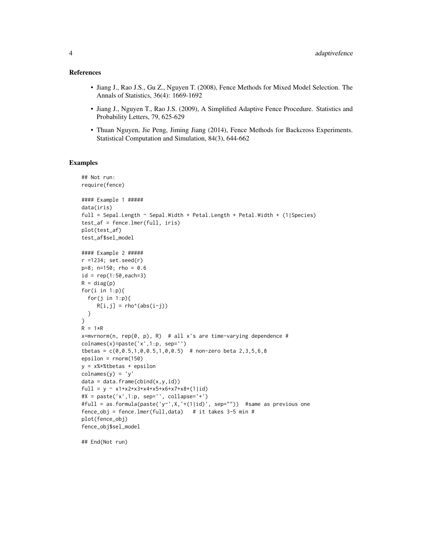#### References

- Jiang J., Rao J.S., Gu Z., Nguyen T. (2008), Fence Methods for Mixed Model Selection. The Annals of Statistics, 36(4): 1669-1692
- Jiang J., Nguyen T., Rao J.S. (2009), A Simplified Adaptive Fence Procedure. Statistics and Probability Letters, 79, 625-629
- Thuan Nguyen, Jie Peng, Jiming Jiang (2014), Fence Methods for Backcross Experiments. Statistical Computation and Simulation, 84(3), 644-662

#### Examples

```
## Not run:
require(fence)
#### Example 1 #####
data(iris)
full = Sepal.Length ~ Sepal.Width + Petal.Length + Petal.Width + (1|Species)
test_af = fence.lmer(full, iris)
plot(test_af)
test_af$sel_model
#### Example 2 #####
r =1234; set.seed(r)
p=8; n=150; rho = 0.6
id = rep(1:50, each=3)R = diag(p)for(i in 1:p){
  for(j in 1:p){
    R[i,j] = rho'(abs(i-j))}
}
R = 1*Rx=mvrnorm(n, rep(0, p), R) # all x's are time-varying dependence #
colnames(x)=paste('x',1:p, sep='')
tbetas = c(0, 0.5, 1, 0, 0.5, 1, 0, 0.5) # non-zero beta 2,3,5,6,8
epsilon = rnorm(150)
y = x%*%tbetas + epsilon
colnames(y) = 'y'
data = data-frame(cbind(x,y,id))full = y ~ x1+x2+x3+x4+x5+x6+x7+x8+(1|id)
#X = paste('x', 1:p, sep='', collapse='+)#full = as.formula(paste('y~',X,'+(1|id)', sep="")) #same as previous one
fence_obj = fence.lmer(full,data) # it takes 3-5 min #
plot(fence_obj)
fence_obj$sel_model
```
## End(Not run)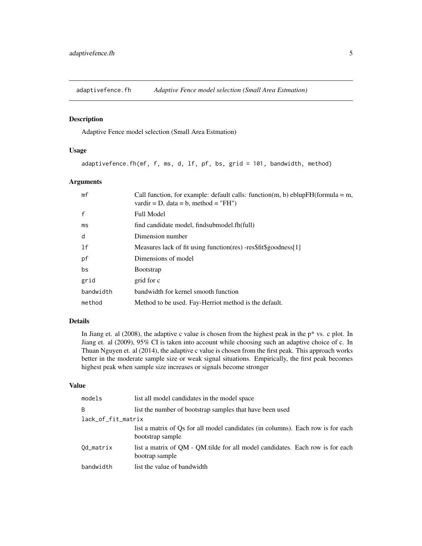<span id="page-4-0"></span>

Adaptive Fence model selection (Small Area Estmation)

#### Usage

adaptivefence.fh(mf, f, ms, d, lf, pf, bs, grid = 101, bandwidth, method)

#### Arguments

| mf        | Call function, for example: default calls: function(m, b) eblup $FH$ (formula = m,<br>vardir = D, data = b, method = "FH") |
|-----------|----------------------------------------------------------------------------------------------------------------------------|
| f         | <b>Full Model</b>                                                                                                          |
| ms        | find candidate model, findsubmodel.fh(full)                                                                                |
| d         | Dimension number                                                                                                           |
| 1f        | Measures lack of fit using function (res) -res\$fit\$goodness[1]                                                           |
| рf        | Dimensions of model                                                                                                        |
| bs        | <b>B</b> ootstrap                                                                                                          |
| grid      | grid for c                                                                                                                 |
| bandwidth | bandwidth for kernel smooth function                                                                                       |
| method    | Method to be used. Fay-Herriot method is the default.                                                                      |

## Details

In Jiang et. al  $(2008)$ , the adaptive c value is chosen from the highest peak in the  $p^*$  vs. c plot. In Jiang et. al (2009), 95% CI is taken into account while choosing such an adaptive choice of c. In Thuan Nguyen et. al (2014), the adaptive c value is chosen from the first peak. This approach works better in the moderate sample size or weak signal situations. Empirically, the first peak becomes highest peak when sample size increases or signals become stronger

#### Value

| models             | list all model candidates in the model space                                                        |  |
|--------------------|-----------------------------------------------------------------------------------------------------|--|
| B                  | list the number of bootstrap samples that have been used                                            |  |
| lack_of_fit_matrix |                                                                                                     |  |
|                    | list a matrix of Qs for all model candidates (in columns). Each row is for each<br>bootstrap sample |  |
| Od_matrix          | list a matrix of QM - QM tilde for all model candidates. Each row is for each<br>bootrap sample     |  |
| bandwidth          | list the value of bandwidth                                                                         |  |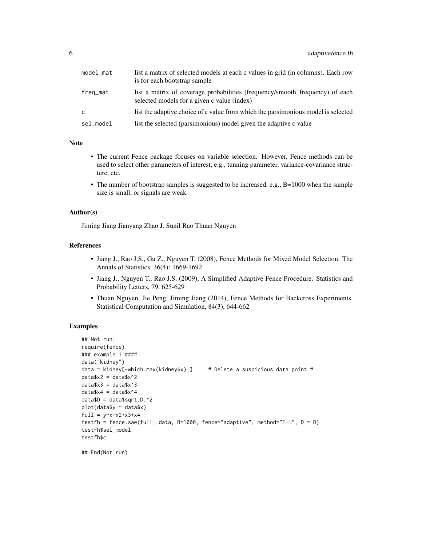| model_mat | list a matrix of selected models at each c values in grid (in columns). Each row<br>is for each bootstrap sample            |
|-----------|-----------------------------------------------------------------------------------------------------------------------------|
| freq_mat  | list a matrix of coverage probabilities (frequency/smooth frequency) of each<br>selected models for a given c value (index) |
| C         | list the adaptive choice of c value from which the parsimonious model is selected                                           |
| sel_model | list the selected (parsimonious) model given the adaptive c value                                                           |

#### Note

- The current Fence package focuses on variable selection. However, Fence methods can be used to select other parameters of interest, e.g., tunning parameter, variance-covariance structure, etc.
- The number of bootstrap samples is suggested to be increased, e.g., B=1000 when the sample size is small, or signals are weak

#### Author(s)

Jiming Jiang Jianyang Zhao J. Sunil Rao Thuan Nguyen

#### References

- Jiang J., Rao J.S., Gu Z., Nguyen T. (2008), Fence Methods for Mixed Model Selection. The Annals of Statistics, 36(4): 1669-1692
- Jiang J., Nguyen T., Rao J.S. (2009), A Simplified Adaptive Fence Procedure. Statistics and Probability Letters, 79, 625-629
- Thuan Nguyen, Jie Peng, Jiming Jiang (2014), Fence Methods for Backcross Experiments. Statistical Computation and Simulation, 84(3), 644-662

## Examples

```
## Not run:
require(fence)
### example 1 ####
data("kidney")
data = kidney[-which.max(kidney$x),] # Delete a suspicious data point #
data$x2 = data$x^2
data$x3 = data$x^3
data$x4 = data$x^4
dataSD = dataSSqrt.D.^2plot(data$y ~ data$x)
full = y~x~+x~2~+x~3~+x~4testfh = fence.sae(full, data, B=1000, fence="adaptive", method="F-H", D = D)
testfh$sel_model
testfh$c
## End(Not run)
```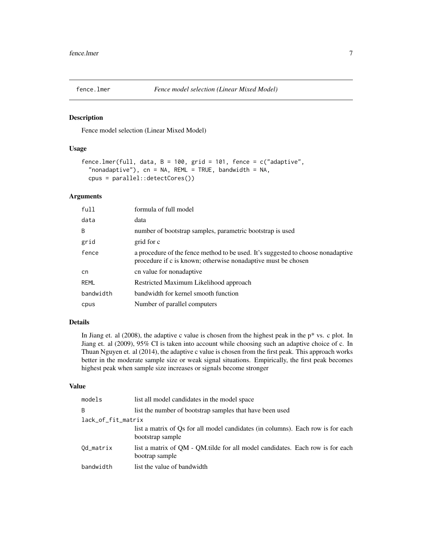<span id="page-6-0"></span>

Fence model selection (Linear Mixed Model)

#### Usage

```
fence.lmer(full, data, B = 100, grid = 101, fence = c("adaptive",
  "nonadaptive"), cn = NA, REML = TRUE, bandwidth = NA,
 cpus = parallel::detectCores())
```
#### Arguments

| full      | formula of full model                                                                                                                             |
|-----------|---------------------------------------------------------------------------------------------------------------------------------------------------|
| data      | data                                                                                                                                              |
| B         | number of bootstrap samples, parametric bootstrap is used                                                                                         |
| grid      | grid for c                                                                                                                                        |
| fence     | a procedure of the fence method to be used. It's suggested to choose nonadaptive<br>procedure if c is known; otherwise nonadaptive must be chosen |
| cn        | cn value for nonadaptive                                                                                                                          |
| REML      | Restricted Maximum Likelihood approach                                                                                                            |
| bandwidth | bandwidth for kernel smooth function                                                                                                              |
| cpus      | Number of parallel computers                                                                                                                      |

## Details

In Jiang et. al (2008), the adaptive c value is chosen from the highest peak in the p\* vs. c plot. In Jiang et. al (2009), 95% CI is taken into account while choosing such an adaptive choice of c. In Thuan Nguyen et. al (2014), the adaptive c value is chosen from the first peak. This approach works better in the moderate sample size or weak signal situations. Empirically, the first peak becomes highest peak when sample size increases or signals become stronger

## Value

| models             | list all model candidates in the model space                                                        |  |
|--------------------|-----------------------------------------------------------------------------------------------------|--|
| B                  | list the number of bootstrap samples that have been used                                            |  |
| lack_of_fit_matrix |                                                                                                     |  |
|                    | list a matrix of Qs for all model candidates (in columns). Each row is for each<br>bootstrap sample |  |
| Od_matrix          | list a matrix of OM - OM tilde for all model candidates. Each row is for each<br>bootrap sample     |  |
| bandwidth          | list the value of bandwidth                                                                         |  |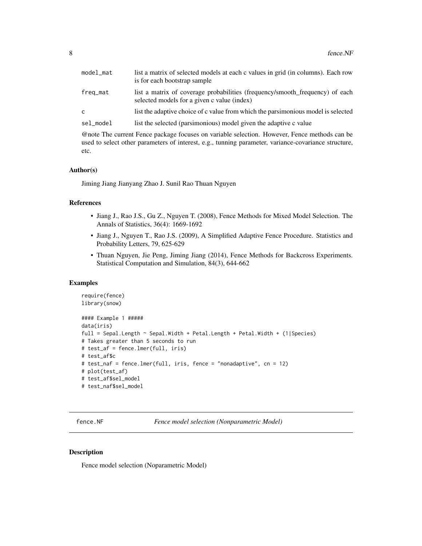<span id="page-7-0"></span>

| model mat | list a matrix of selected models at each c values in grid (in columns). Each row<br>is for each bootstrap sample            |
|-----------|-----------------------------------------------------------------------------------------------------------------------------|
| freq_mat  | list a matrix of coverage probabilities (frequency/smooth frequency) of each<br>selected models for a given c value (index) |
| C.        | list the adaptive choice of c value from which the parsimonious model is selected                                           |
| sel_model | list the selected (parsimonious) model given the adaptive c value                                                           |

@note The current Fence package focuses on variable selection. However, Fence methods can be used to select other parameters of interest, e.g., tunning parameter, variance-covariance structure, etc.

#### Author(s)

Jiming Jiang Jianyang Zhao J. Sunil Rao Thuan Nguyen

#### References

- Jiang J., Rao J.S., Gu Z., Nguyen T. (2008), Fence Methods for Mixed Model Selection. The Annals of Statistics, 36(4): 1669-1692
- Jiang J., Nguyen T., Rao J.S. (2009), A Simplified Adaptive Fence Procedure. Statistics and Probability Letters, 79, 625-629
- Thuan Nguyen, Jie Peng, Jiming Jiang (2014), Fence Methods for Backcross Experiments. Statistical Computation and Simulation, 84(3), 644-662

#### Examples

```
require(fence)
library(snow)
#### Example 1 #####
data(iris)
full = Sepal.Length ~ Sepal.Width + Petal.Length + Petal.Width + (1|Species)
# Takes greater than 5 seconds to run
# test_af = fence.lmer(full, iris)
# test_af$c
# test_naf = fence.lmer(full, iris, fence = "nonadaptive", cn = 12)
# plot(test_af)
# test_af$sel_model
# test_naf$sel_model
```
fence.NF *Fence model selection (Nonparametric Model)*

#### Description

Fence model selection (Noparametric Model)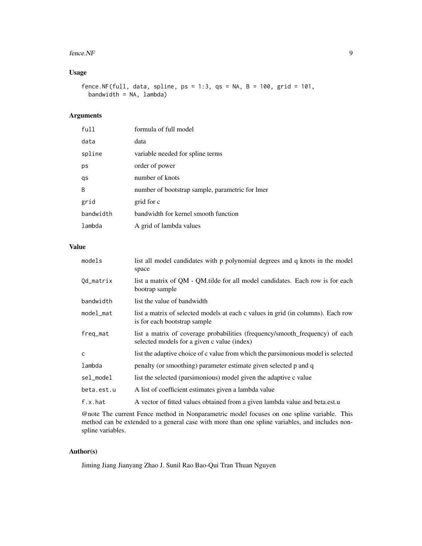#### fence.NF 9

## Usage

fence.NF(full, data, spline, ps = 1:3, qs = NA, B = 100, grid = 101, bandwidth = NA, lambda)

## Arguments

| full      | formula of full model                           |
|-----------|-------------------------------------------------|
| data      | data                                            |
| spline    | variable needed for spline terms                |
| ps        | order of power                                  |
| qs        | number of knots                                 |
| B         | number of bootstrap sample, parametric for lmer |
| grid      | grid for c                                      |
| bandwidth | bandwidth for kernel smooth function            |
| lambda    | A grid of lambda values                         |

## Value

| models       | list all model candidates with p polynomial degrees and q knots in the model<br>space                                       |
|--------------|-----------------------------------------------------------------------------------------------------------------------------|
| Od_matrix    | list a matrix of QM - QM tilde for all model candidates. Each row is for each<br>bootrap sample                             |
| bandwidth    | list the value of bandwidth                                                                                                 |
| model_mat    | list a matrix of selected models at each c values in grid (in columns). Each row<br>is for each bootstrap sample            |
| freq_mat     | list a matrix of coverage probabilities (frequency/smooth_frequency) of each<br>selected models for a given c value (index) |
| $\mathsf{C}$ | list the adaptive choice of c value from which the parsimonious model is selected                                           |
| lambda       | penalty (or smoothing) parameter estimate given selected p and q                                                            |
| sel_model    | list the selected (parsimonious) model given the adaptive c value                                                           |
| beta.est.u   | A list of coefficient estimates given a lambda value                                                                        |
| f.x.hat      | A vector of fitted values obtained from a given lambda value and beta.est.u                                                 |

@note The current Fence method in Nonparametric model focuses on one spline variable. This method can be extended to a general case with more than one spline variables, and includes nonspline variables.

## Author(s)

Jiming Jiang Jianyang Zhao J. Sunil Rao Bao-Qui Tran Thuan Nguyen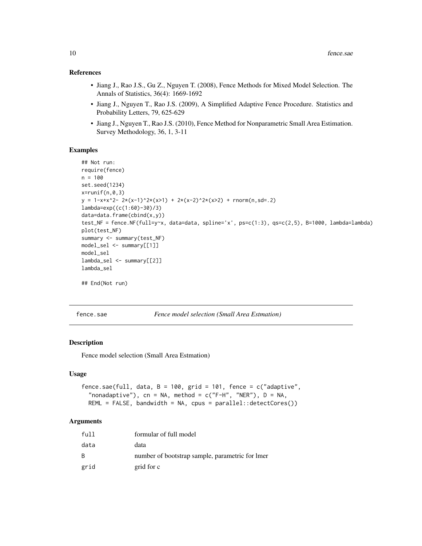## <span id="page-9-0"></span>References

- Jiang J., Rao J.S., Gu Z., Nguyen T. (2008), Fence Methods for Mixed Model Selection. The Annals of Statistics, 36(4): 1669-1692
- Jiang J., Nguyen T., Rao J.S. (2009), A Simplified Adaptive Fence Procedure. Statistics and Probability Letters, 79, 625-629
- Jiang J., Nguyen T., Rao J.S. (2010), Fence Method for Nonparametric Small Area Estimation. Survey Methodology, 36, 1, 3-11

#### Examples

```
## Not run:
require(fence)
n = 100
set.seed(1234)
x = runif(n, 0, 3)y = 1-x+x^2- 2*(x-1)^2*(x>1) + 2*(x-2)^2*(x>2) + \text{rnorm}(n, sd=.2)lambda=exp((c(1:60)-30)/3)
data=data.frame(cbind(x,y))
test_NF = fence.NF(full=y~x, data=data, spline='x', ps=c(1:3), qs=c(2,5), B=1000, lambda=lambda)
plot(test_NF)
summary <- summary(test_NF)
model_sel <- summary[[1]]
model_sel
lambda_sel <- summary[[2]]
lambda_sel
## End(Not run)
```
fence.sae *Fence model selection (Small Area Estmation)*

#### Description

Fence model selection (Small Area Estmation)

#### Usage

```
fence.sae(full, data, B = 100, grid = 101, fence = c("adaptive",
  "nonadaptive"), cn = NA, method = c("F-H", "NER"), D = NA,REML = FALSE, bandwidth = NA, cpus = parallel::detectCores())
```

| full         | formular of full model                          |
|--------------|-------------------------------------------------|
| data         | data                                            |
| <sub>B</sub> | number of bootstrap sample, parametric for lmer |
| grid         | grid for c                                      |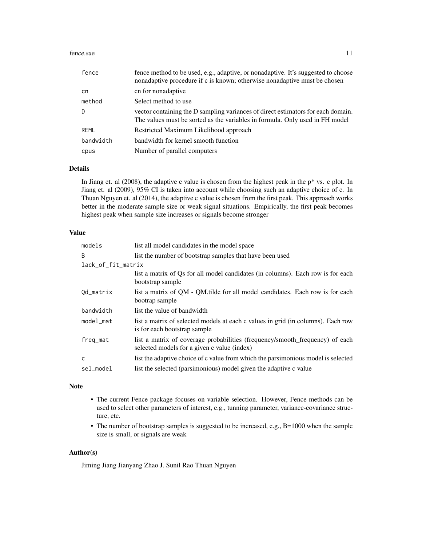#### fence.sae 11

| fence     | fence method to be used, e.g., adaptive, or nonadaptive. It's suggested to choose<br>nonadaptive procedure if c is known; otherwise nonadaptive must be chosen   |
|-----------|------------------------------------------------------------------------------------------------------------------------------------------------------------------|
| cn        | cn for nonadaptive                                                                                                                                               |
| method    | Select method to use                                                                                                                                             |
| D         | vector containing the D sampling variances of direct estimators for each domain.<br>The values must be sorted as the variables in formula. Only used in FH model |
| REML      | Restricted Maximum Likelihood approach                                                                                                                           |
| bandwidth | bandwidth for kernel smooth function                                                                                                                             |
| cpus      | Number of parallel computers                                                                                                                                     |

#### Details

In Jiang et. al (2008), the adaptive c value is chosen from the highest peak in the p\* vs. c plot. In Jiang et. al (2009), 95% CI is taken into account while choosing such an adaptive choice of c. In Thuan Nguyen et. al (2014), the adaptive c value is chosen from the first peak. This approach works better in the moderate sample size or weak signal situations. Empirically, the first peak becomes highest peak when sample size increases or signals become stronger

#### Value

| models             | list all model candidates in the model space                                                                                |  |
|--------------------|-----------------------------------------------------------------------------------------------------------------------------|--|
| <sub>B</sub>       | list the number of bootstrap samples that have been used                                                                    |  |
| lack_of_fit_matrix |                                                                                                                             |  |
|                    | list a matrix of Qs for all model candidates (in columns). Each row is for each<br>bootstrap sample                         |  |
| Od_matrix          | list a matrix of QM - QM tilde for all model candidates. Each row is for each<br>bootrap sample                             |  |
| bandwidth          | list the value of bandwidth                                                                                                 |  |
| model_mat          | list a matrix of selected models at each c values in grid (in columns). Each row<br>is for each bootstrap sample            |  |
| freq_mat           | list a matrix of coverage probabilities (frequency/smooth_frequency) of each<br>selected models for a given c value (index) |  |
| C                  | list the adaptive choice of c value from which the parsimonious model is selected                                           |  |
| sel_model          | list the selected (parsimonious) model given the adaptive c value                                                           |  |

#### Note

- The current Fence package focuses on variable selection. However, Fence methods can be used to select other parameters of interest, e.g., tunning parameter, variance-covariance structure, etc.
- The number of bootstrap samples is suggested to be increased, e.g., B=1000 when the sample size is small, or signals are weak

## Author(s)

Jiming Jiang Jianyang Zhao J. Sunil Rao Thuan Nguyen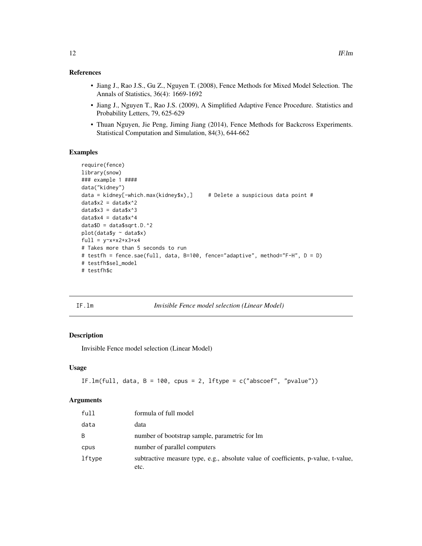## <span id="page-11-0"></span>References

- Jiang J., Rao J.S., Gu Z., Nguyen T. (2008), Fence Methods for Mixed Model Selection. The Annals of Statistics, 36(4): 1669-1692
- Jiang J., Nguyen T., Rao J.S. (2009), A Simplified Adaptive Fence Procedure. Statistics and Probability Letters, 79, 625-629
- Thuan Nguyen, Jie Peng, Jiming Jiang (2014), Fence Methods for Backcross Experiments. Statistical Computation and Simulation, 84(3), 644-662

### Examples

```
require(fence)
library(snow)
### example 1 ####
data("kidney")
data = kidney[-which.max(kidney$x),] # Delete a suspicious data point #
data$x2 = data$x^2
data$x3 = data$x^3
data$x4 = data$x^4
dataSD = dataSSqrt.D.^2plot(data$y ~ data$x)
full = y~x+x2+x3+x4# Takes more than 5 seconds to run
# testfh = fence.sae(full, data, B=100, fence="adaptive", method="F-H", D = D)
# testfh$sel_model
# testfh$c
```
IF.lm *Invisible Fence model selection (Linear Model)*

## Description

Invisible Fence model selection (Linear Model)

## Usage

```
IF.lm(full, data, B = 100, cpus = 2, lftype = c("abscoef", "pvalue"))
```

| full   | formula of full model                                                                     |
|--------|-------------------------------------------------------------------------------------------|
| data   | data                                                                                      |
| B      | number of bootstrap sample, parametric for lm                                             |
| cpus   | number of parallel computers                                                              |
| lftype | subtractive measure type, e.g., absolute value of coefficients, p-value, t-value,<br>etc. |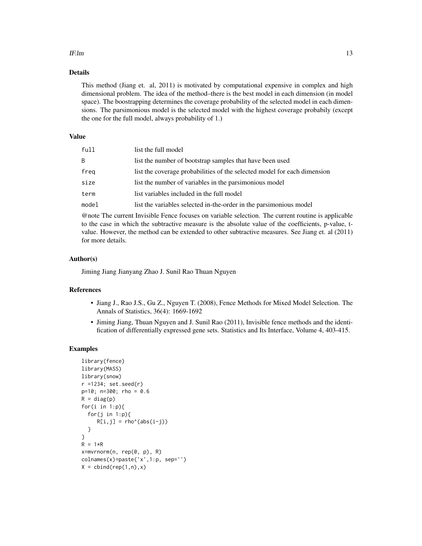#### IF. Im  $\blacksquare$  13

## Details

This method (Jiang et. al, 2011) is motivated by computational expensive in complex and high dimensional problem. The idea of the method–there is the best model in each dimension (in model space). The boostrapping determines the coverage probability of the selected model in each dimensions. The parsimonious model is the selected model with the highest coverage probabily (except the one for the full model, always probability of 1.)

## Value

| full  | list the full model                                                      |
|-------|--------------------------------------------------------------------------|
| B     | list the number of bootstrap samples that have been used                 |
| freg  | list the coverage probabilities of the selected model for each dimension |
| size  | list the number of variables in the parsimonious model                   |
| term  | list variables included in the full model                                |
| model | list the variables selected in-the-order in the parsimonious model       |
|       |                                                                          |

@note The current Invisible Fence focuses on variable selection. The current routine is applicable to the case in which the subtractive measure is the absolute value of the coefficients, p-value, tvalue. However, the method can be extended to other subtractive measures. See Jiang et. al (2011) for more details.

## Author(s)

Jiming Jiang Jianyang Zhao J. Sunil Rao Thuan Nguyen

#### References

- Jiang J., Rao J.S., Gu Z., Nguyen T. (2008), Fence Methods for Mixed Model Selection. The Annals of Statistics, 36(4): 1669-1692
- Jiming Jiang, Thuan Nguyen and J. Sunil Rao (2011), Invisible fence methods and the identification of differentially expressed gene sets. Statistics and Its Interface, Volume 4, 403-415.

#### Examples

```
library(fence)
library(MASS)
library(snow)
r =1234; set.seed(r)
p=10; n=300; rho = 0.6
R = diag(p)for(i in 1:p){
  for(j in 1:p){
     R[i,j] = rho'(abs(i-j))}
}
R = 1*Rx=mvrnorm(n, rep(0, p), R)
colnames(x)=paste('x',1:p, sep='')
X = \text{cbind}(\text{rep}(1, n), x)
```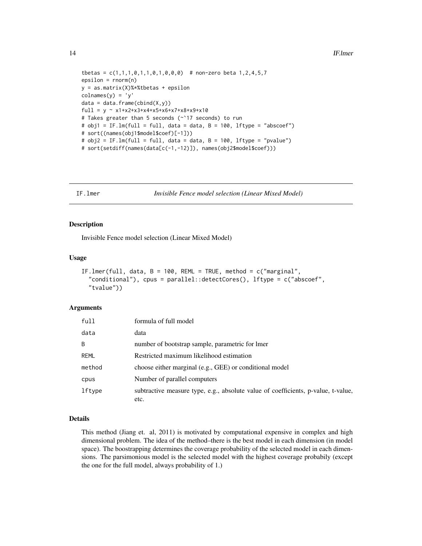```
tbetas = c(1,1,1,0,1,1,0,1,0,0,0) # non-zero beta 1,2,4,5,7
epsilon = rnorm(n)y = as.matrix(X)%*%tbetas + epsilon
colnames(y) = 'y'data = data-frame<mark>(\text{cbind}(X, y))</mark>
full = y ~ x1+x2+x3+x4+x5+x6+x7+x8+x9+x10
# Takes greater than 5 seconds (~`17 seconds) to run
# obj1 = IF.lm(full = full, data = data, B = 100, lftype = "abscoef")
# sort((names(obj1$model$coef)[-1]))
# obj2 = IF.lm(full = full, data = data, B = 100, lftype = "pvalue")
# sort(setdiff(names(data[c(-1,-12)]), names(obj2$model$coef)))
```
IF.lmer *Invisible Fence model selection (Linear Mixed Model)*

#### Description

Invisible Fence model selection (Linear Mixed Model)

#### Usage

```
IF.lmer(full, data, B = 100, REML = TRUE, method = c("marginal",
  "conditional"), cpus = parallel::detectCores(), lftype = c("abscoef",
  "tvalue"))
```
#### Arguments

| full        | formula of full model                                                                     |
|-------------|-------------------------------------------------------------------------------------------|
| data        | data                                                                                      |
| B           | number of bootstrap sample, parametric for lmer                                           |
| <b>REML</b> | Restricted maximum likelihood estimation                                                  |
| method      | choose either marginal (e.g., GEE) or conditional model                                   |
| cpus        | Number of parallel computers                                                              |
| lftype      | subtractive measure type, e.g., absolute value of coefficients, p-value, t-value,<br>etc. |

#### Details

This method (Jiang et. al, 2011) is motivated by computational expensive in complex and high dimensional problem. The idea of the method–there is the best model in each dimension (in model space). The boostrapping determines the coverage probability of the selected model in each dimensions. The parsimonious model is the selected model with the highest coverage probabily (except the one for the full model, always probability of 1.)

<span id="page-13-0"></span>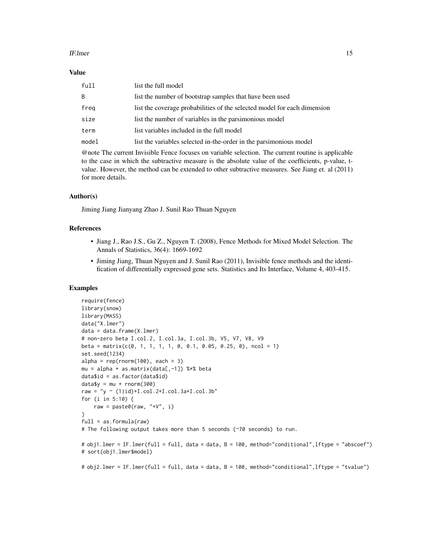#### IF. Imer 15

#### Value

| full  | list the full model                                                      |
|-------|--------------------------------------------------------------------------|
| B     | list the number of bootstrap samples that have been used                 |
| freg  | list the coverage probabilities of the selected model for each dimension |
| size  | list the number of variables in the parsimonious model                   |
| term  | list variables included in the full model                                |
| model | list the variables selected in-the-order in the parsimonious model       |

@note The current Invisible Fence focuses on variable selection. The current routine is applicable to the case in which the subtractive measure is the absolute value of the coefficients, p-value, tvalue. However, the method can be extended to other subtractive measures. See Jiang et. al (2011) for more details.

#### Author(s)

Jiming Jiang Jianyang Zhao J. Sunil Rao Thuan Nguyen

#### References

- Jiang J., Rao J.S., Gu Z., Nguyen T. (2008), Fence Methods for Mixed Model Selection. The Annals of Statistics, 36(4): 1669-1692
- Jiming Jiang, Thuan Nguyen and J. Sunil Rao (2011), Invisible fence methods and the identification of differentially expressed gene sets. Statistics and Its Interface, Volume 4, 403-415.

#### Examples

```
require(fence)
library(snow)
library(MASS)
data("X.lmer")
data = data.frame(X.lmer)
# non-zero beta I.col.2, I.col.3a, I.col.3b, V5, V7, V8, V9
beta = matrix(c(0, 1, 1, 1, 1, 0, 0.1, 0.05, 0.25, 0), ncol = 1)
set.seed(1234)
alpha = rep(rnorm(100), each = 3)
mu = alpha + as.matrix(data[, -1]) %*% beta
data$id = as.factor(data$id)
data\ y = mu + rnorm(300)
raw = "y ~ (1|id)+I.col.2+I.col.3a+I.col.3b"for (i in 5:10) {
    raw = paste0(raw, "+V", i)}
full = as.format(<i>raw</i>)# The following output takes more than 5 seconds (~70 seconds) to run.
# obj1.lmer = IF.lmer(full = full, data = data, B = 100, method="conditional",lftype = "abscoef")
# sort(obj1.lmer$model)
# obj2.lmer = IF.lmer(full = full, data = data, B = 100, method="conditional",lftype = "tvalue")
```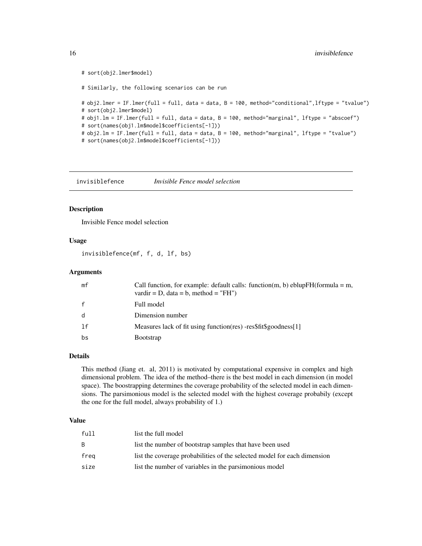```
# sort(obj2.lmer$model)
# Similarly, the following scenarios can be run
# obj2.lmer = IF.lmer(full = full, data = data, B = 100, method="conditional",lftype = "tvalue")
# sort(obj2.lmer$model)
# obj1.lm = IF.lmer(full = full, data = data, B = 100, method="marginal", lftype = "abscoef")
# sort(names(obj1.lm$model$coefficients[-1]))
# obj2.lm = IF.lmer(full = full, data = data, B = 100, method="marginal", lftype = "tvalue")
# sort(names(obj2.lm$model$coefficients[-1]))
```
invisiblefence *Invisible Fence model selection*

## Description

Invisible Fence model selection

#### Usage

invisiblefence(mf, f, d, lf, bs)

### Arguments

| mf | Call function, for example: default calls: function(m, b) eblup $FH$ (formula = m,<br>vardir = D, data = b, method = "FH") |
|----|----------------------------------------------------------------------------------------------------------------------------|
|    | Full model                                                                                                                 |
|    | Dimension number                                                                                                           |
| 1f | Measures lack of fit using function (res) -res\$fit\$goodness[1]                                                           |
| bs | <b>B</b> ootstrap                                                                                                          |

#### Details

This method (Jiang et. al, 2011) is motivated by computational expensive in complex and high dimensional problem. The idea of the method–there is the best model in each dimension (in model space). The boostrapping determines the coverage probability of the selected model in each dimensions. The parsimonious model is the selected model with the highest coverage probabily (except the one for the full model, always probability of 1.)

#### Value

| full | list the full model                                                      |
|------|--------------------------------------------------------------------------|
| B.   | list the number of bootstrap samples that have been used                 |
| frea | list the coverage probabilities of the selected model for each dimension |
| size | list the number of variables in the parsimonious model                   |

<span id="page-15-0"></span>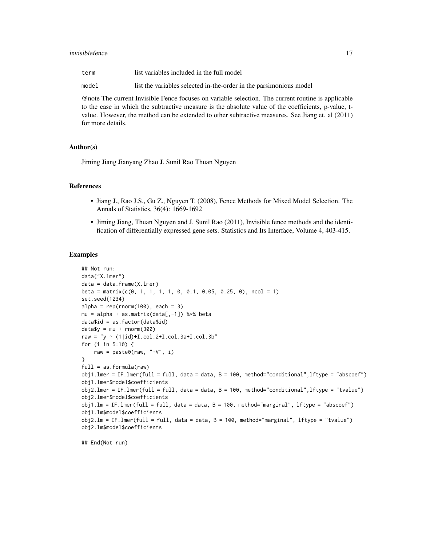#### invisiblefence 17

| term  | list variables included in the full model                          |
|-------|--------------------------------------------------------------------|
| model | list the variables selected in-the-order in the parsimonious model |

@note The current Invisible Fence focuses on variable selection. The current routine is applicable to the case in which the subtractive measure is the absolute value of the coefficients, p-value, tvalue. However, the method can be extended to other subtractive measures. See Jiang et. al (2011) for more details.

#### Author(s)

Jiming Jiang Jianyang Zhao J. Sunil Rao Thuan Nguyen

## References

- Jiang J., Rao J.S., Gu Z., Nguyen T. (2008), Fence Methods for Mixed Model Selection. The Annals of Statistics, 36(4): 1669-1692
- Jiming Jiang, Thuan Nguyen and J. Sunil Rao (2011), Invisible fence methods and the identification of differentially expressed gene sets. Statistics and Its Interface, Volume 4, 403-415.

#### Examples

```
## Not run:
data("X.lmer")
data = data.frame(X.lmer)
beta = matrix(c(0, 1, 1, 1, 1, 0, 0.1, 0.05, 0.25, 0), ncol = 1)
set.seed(1234)
alpha = rep(rnorm(100), each = 3)
mu = alpha + as.matrix(data[, -1]) %*% beta
data$id = as.factor(data$id)
data\ y = mu + rnorm(300)
raw = "y ~ (1|id)+I.col.2+I.col.3a+I.col.3b"for (i in 5:10) {
    raw = paste0(raw, "+V", i)}
full = as.format(<i>raw</i>)obj1.lmer = IF.lmer(full = full, data = data, B = 100, method="conditional",lftype = "abscoef")
obj1.lmer$model$coefficients
obj2.lmer = IF.lmer(full = full, data = data, B = 100, method="conditional",lftype = "tvalue")
obj2.lmer$model$coefficients
obj1.lm = IF.lmer(full = full, data = data, B = 100, method="marginal", lftype = "abscoef")
obj1.lm$model$coefficients
obj2.lm = IF.lmer(full = full, data = data, B = 100, method="marginal", lftype = "tvalue")
obj2.lm$model$coefficients
```
## End(Not run)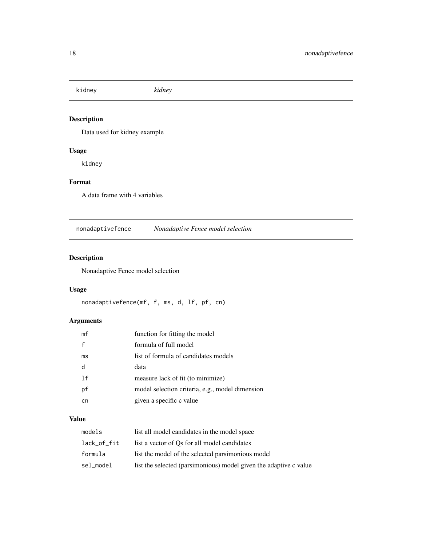<span id="page-17-0"></span>kidney *kidney*

## Description

Data used for kidney example

## Usage

kidney

## Format

A data frame with 4 variables

nonadaptivefence *Nonadaptive Fence model selection*

## Description

Nonadaptive Fence model selection

## Usage

```
nonadaptivefence(mf, f, ms, d, lf, pf, cn)
```
## Arguments

| mf | function for fitting the model                  |
|----|-------------------------------------------------|
| f  | formula of full model                           |
| ms | list of formula of candidates models            |
| d  | data                                            |
| 1f | measure lack of fit (to minimize)               |
| рf | model selection criteria, e.g., model dimension |
| cn | given a specific c value                        |

## Value

| models      | list all model candidates in the model space                      |
|-------------|-------------------------------------------------------------------|
| lack_of_fit | list a vector of Os for all model candidates                      |
| formula     | list the model of the selected parsimonious model                 |
| sel_model   | list the selected (parsimonious) model given the adaptive c value |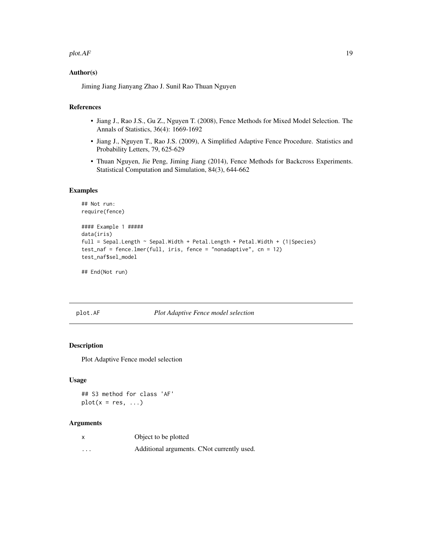#### <span id="page-18-0"></span> $p$ lot. $AF$  19

#### Author(s)

Jiming Jiang Jianyang Zhao J. Sunil Rao Thuan Nguyen

#### References

- Jiang J., Rao J.S., Gu Z., Nguyen T. (2008), Fence Methods for Mixed Model Selection. The Annals of Statistics, 36(4): 1669-1692
- Jiang J., Nguyen T., Rao J.S. (2009), A Simplified Adaptive Fence Procedure. Statistics and Probability Letters, 79, 625-629
- Thuan Nguyen, Jie Peng, Jiming Jiang (2014), Fence Methods for Backcross Experiments. Statistical Computation and Simulation, 84(3), 644-662

#### Examples

```
## Not run:
require(fence)
#### Example 1 #####
data(iris)
full = Sepal.Length ~ Sepal.Width + Petal.Length + Petal.Width + (1|Species)
test_naf = fence.lmer(full, iris, fence = "nonadaptive", cn = 12)
test_naf$sel_model
```
## End(Not run)

#### plot.AF *Plot Adaptive Fence model selection*

## Description

Plot Adaptive Fence model selection

#### Usage

```
## S3 method for class 'AF'
plot(x = res, ...)
```

|          | Object to be plotted                       |
|----------|--------------------------------------------|
| $\cdots$ | Additional arguments. CNot currently used. |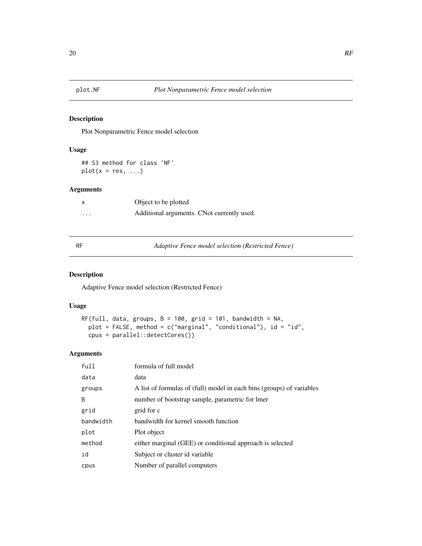<span id="page-19-0"></span>

Plot Nonparametric Fence model selection

## Usage

## S3 method for class 'NF'  $plot(x = res, ...)$ 

## Arguments

|          | Object to be plotted                       |
|----------|--------------------------------------------|
| $\cdots$ | Additional arguments. CNot currently used. |

RF *Adaptive Fence model selection (Restricted Fence)*

#### Description

Adaptive Fence model selection (Restricted Fence)

#### Usage

```
RF(full, data, groups, B = 100, grid = 101, bandwidth = NA,
 plot = FALSE, method = c("marginal", "conditional"), id = "id",
 cpus = parallel::detectCores())
```

| full         | formula of full model                                                 |
|--------------|-----------------------------------------------------------------------|
| data         | data                                                                  |
| groups       | A list of formulas of (full) model in each bins (groups) of variables |
| <sub>B</sub> | number of bootstrap sample, parametric for lmer                       |
| grid         | grid for c                                                            |
| bandwidth    | bandwidth for kernel smooth function                                  |
| plot         | Plot object                                                           |
| method       | either marginal (GEE) or conditional approach is selected             |
| id           | Subject or cluster id variable                                        |
| cpus         | Number of parallel computers                                          |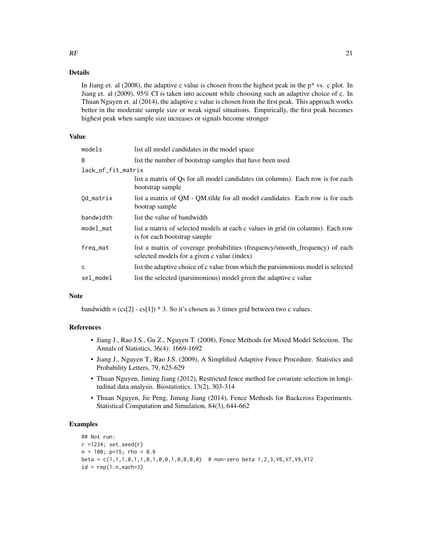#### Details

In Jiang et. al  $(2008)$ , the adaptive c value is chosen from the highest peak in the  $p^*$  vs. c plot. In Jiang et. al (2009), 95% CI is taken into account while choosing such an adaptive choice of c. In Thuan Nguyen et. al (2014), the adaptive c value is chosen from the first peak. This approach works better in the moderate sample size or weak signal situations. Empirically, the first peak becomes highest peak when sample size increases or signals become stronger

## Value

| models             | list all model candidates in the model space                                                                                |  |
|--------------------|-----------------------------------------------------------------------------------------------------------------------------|--|
| B                  | list the number of bootstrap samples that have been used                                                                    |  |
| lack_of_fit_matrix |                                                                                                                             |  |
|                    | list a matrix of Qs for all model candidates (in columns). Each row is for each<br>bootstrap sample                         |  |
| Od_matrix          | list a matrix of QM - QM tilde for all model candidates. Each row is for each<br>bootrap sample                             |  |
| bandwidth          | list the value of bandwidth                                                                                                 |  |
| model_mat          | list a matrix of selected models at each c values in grid (in columns). Each row<br>is for each bootstrap sample            |  |
| freq_mat           | list a matrix of coverage probabilities (frequency/smooth frequency) of each<br>selected models for a given c value (index) |  |
| C                  | list the adaptive choice of c value from which the parsimonious model is selected                                           |  |
| sel_model          | list the selected (parsimonious) model given the adaptive c value                                                           |  |

#### Note

bandwidth =  $(cs[2] - cs[1]) * 3$ . So it's chosen as 3 times grid between two c values.

#### References

- Jiang J., Rao J.S., Gu Z., Nguyen T. (2008), Fence Methods for Mixed Model Selection. The Annals of Statistics, 36(4): 1669-1692
- Jiang J., Nguyen T., Rao J.S. (2009), A Simplified Adaptive Fence Procedure. Statistics and Probability Letters, 79, 625-629
- Thuan Nguyen, Jiming Jiang (2012), Restricted fence method for covariate selection in longitudinal data analysis. Biostatistics, 13(2), 303-314
- Thuan Nguyen, Jie Peng, Jiming Jiang (2014), Fence Methods for Backcross Experiments. Statistical Computation and Simulation, 84(3), 644-662

## Examples

```
## Not run:
r =1234; set.seed(r)
n = 100; p=15; rho = 0.6beta = c(1,1,1,0,1,1,0,1,0,0,1,0,0,0,0) # non-zero beta 1,2,3, V6, V7, V9, V12
id = rep(1:n, each=3)
```
 $RF$  21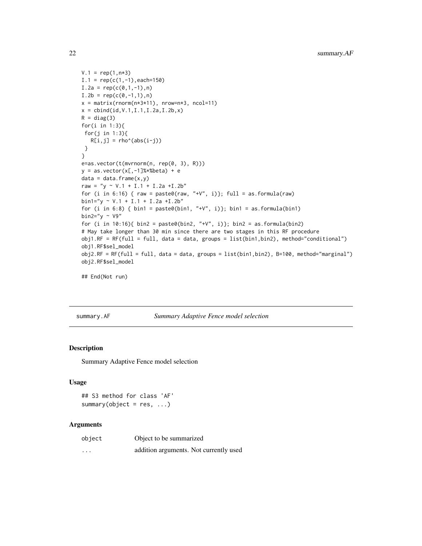```
V.1 = rep(1, n*3)I.1 = \text{rep}(c(1, -1), \text{each}=150)I.2a = rep(c(0,1,-1),n)I.2b = rep(c(0,-1,1),n)x = matrix(rnorm(n*3*11), nrow=n*3, ncol=11)x = \text{cbind}(\text{id}, V.1, I.1, I.2a, I.2b, x)R = diag(3)for(i in 1:3){
for(j in 1:3){
   R[i,j] = rho^(abs(i-j))}
}
e=as.vector(t(mvrnorm(n, rep(0, 3), R)))
y = as.vector(x[, -1]%*%beta) + e
data = data-frame(x, y)raw = "y ~ V.1 + I.1 + I.2a +I.2b"for (i in 6:16) { raw = paste0(raw, "+V", i)}; full = as.formula(raw)
bin1="y ~ V.1 + I.1 + I.2a +I.2b"
for (i in 6:8) { bin1 = paste0(bin1, "+V", i)}; bin1 = as.formula(bin1)
bin2="y \sim V9"
for (i in 10:16){ bin2 = paste0(bin2, "+V", i)}; bin2 = as.formula(bin2)
# May take longer than 30 min since there are two stages in this RF procedure
obj1.RF = RF(full = full, data = data, groups = list(bin1,bin2), method="conditional")
obj1.RF$sel_model
obj2.RF = RF(full = full, data = data, groups = list(bin1,bin2), B=100, method="marginal")
obj2.RF$sel_model
```

```
## End(Not run)
```
summary.AF *Summary Adaptive Fence model selection*

#### Description

Summary Adaptive Fence model selection

#### Usage

```
## S3 method for class 'AF'
summary(object = res, ...)
```

| object                  | Object to be summarized                |
|-------------------------|----------------------------------------|
| $\cdot$ $\cdot$ $\cdot$ | addition arguments. Not currently used |

<span id="page-21-0"></span>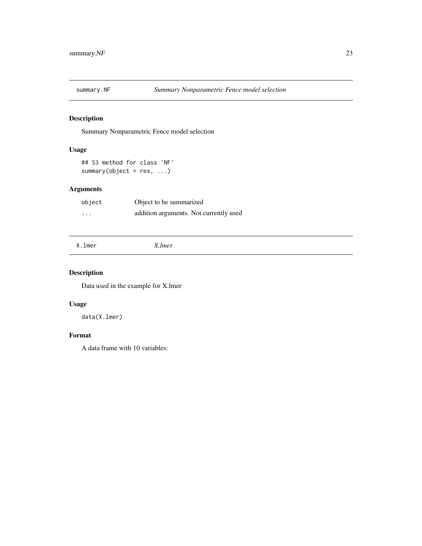<span id="page-22-0"></span>

Summary Nonparametric Fence model selection

## Usage

```
## S3 method for class 'NF'
summary(object = res, ...)
```
## Arguments

| object | Object to be summarized                |
|--------|----------------------------------------|
| .      | addition arguments. Not currently used |

X.lmer *X.lmer*

## Description

Data used in the example for X.lmer

## Usage

data(X.lmer)

#### Format

A data frame with 10 variables: